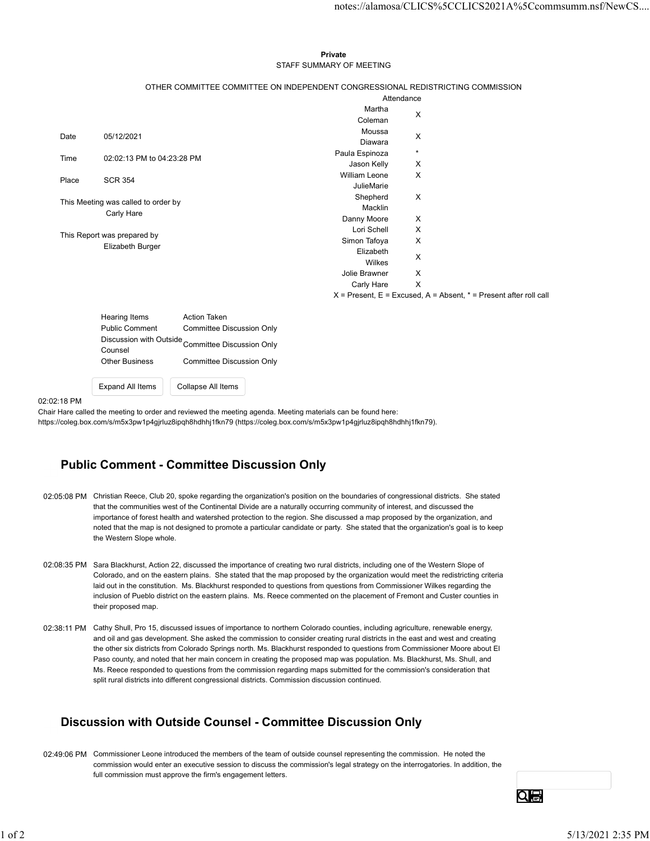#### Private **Private** and *Private* and *Private* and *Private* and *Private* and *Private* and *Private* and *Private* and *Private* and *Private* and *Private* and *Private* and *Private* and *Private* and *Private* and *Pri* STAFF SUMMARY OF MEETING

|                                     |                                                 |                                                                                 |                                                                                                          |              | notes://alamosa/CLICS%5CCLICS2021A%5Ccommsumm.nsf/NewCS                   |  |
|-------------------------------------|-------------------------------------------------|---------------------------------------------------------------------------------|----------------------------------------------------------------------------------------------------------|--------------|---------------------------------------------------------------------------|--|
|                                     |                                                 |                                                                                 |                                                                                                          |              |                                                                           |  |
|                                     |                                                 |                                                                                 |                                                                                                          |              |                                                                           |  |
|                                     |                                                 |                                                                                 | Private                                                                                                  |              |                                                                           |  |
|                                     |                                                 |                                                                                 | STAFF SUMMARY OF MEETING                                                                                 |              |                                                                           |  |
|                                     |                                                 | OTHER COMMITTEE COMMITTEE ON INDEPENDENT CONGRESSIONAL REDISTRICTING COMMISSION |                                                                                                          |              |                                                                           |  |
|                                     |                                                 |                                                                                 |                                                                                                          | Attendance   |                                                                           |  |
|                                     |                                                 |                                                                                 | Martha                                                                                                   | X            |                                                                           |  |
|                                     |                                                 |                                                                                 | Coleman                                                                                                  |              |                                                                           |  |
| Date                                | 05/12/2021                                      |                                                                                 | Moussa<br>Diawara                                                                                        | X            |                                                                           |  |
|                                     |                                                 |                                                                                 | Paula Espinoza                                                                                           | $\star$      |                                                                           |  |
| Time                                | 02:02:13 PM to 04:23:28 PM                      |                                                                                 | Jason Kelly                                                                                              | Χ            |                                                                           |  |
| Place                               | <b>SCR 354</b>                                  |                                                                                 | William Leone                                                                                            | X            |                                                                           |  |
|                                     |                                                 |                                                                                 | JulieMarie                                                                                               |              |                                                                           |  |
| This Meeting was called to order by |                                                 |                                                                                 | Shepherd<br>Macklin                                                                                      | X            |                                                                           |  |
|                                     | Carly Hare                                      |                                                                                 | Danny Moore                                                                                              | X            |                                                                           |  |
|                                     |                                                 |                                                                                 | Lori Schell                                                                                              | X            |                                                                           |  |
|                                     | This Report was prepared by<br>Elizabeth Burger |                                                                                 | Simon Tafoya                                                                                             | X            |                                                                           |  |
|                                     |                                                 |                                                                                 | Elizabeth                                                                                                | X            |                                                                           |  |
|                                     |                                                 |                                                                                 | Wilkes<br>Jolie Brawner                                                                                  | X            |                                                                           |  |
|                                     |                                                 |                                                                                 | Carly Hare                                                                                               | $\mathsf{X}$ |                                                                           |  |
|                                     |                                                 |                                                                                 |                                                                                                          |              | $X =$ Present, $E =$ Excused, $A =$ Absent, $* =$ Present after roll call |  |
|                                     |                                                 |                                                                                 |                                                                                                          |              |                                                                           |  |
|                                     | Hearing Items                                   | Action Taken                                                                    |                                                                                                          |              |                                                                           |  |
|                                     | <b>Public Comment</b>                           | <b>Committee Discussion Only</b>                                                |                                                                                                          |              |                                                                           |  |
|                                     | Counsel                                         | Discussion with Outside<br>Committee Discussion Only                            |                                                                                                          |              |                                                                           |  |
|                                     | <b>Other Business</b>                           | <b>Committee Discussion Only</b>                                                |                                                                                                          |              |                                                                           |  |
|                                     | <b>Expand All Items</b>                         | Collapse All Items                                                              |                                                                                                          |              |                                                                           |  |
|                                     |                                                 |                                                                                 |                                                                                                          |              |                                                                           |  |
| 2:18 PM                             |                                                 |                                                                                 | r Hare called the meeting to order and reviewed the meeting agenda. Meeting materials can be found here: |              |                                                                           |  |

| Hearing Items                      | <b>Action Taken</b>       |
|------------------------------------|---------------------------|
| <b>Public Comment</b>              | Committee Discussion Only |
| Discussion with Outside<br>Counsel | Committee Discussion Only |
| <b>Other Business</b>              | Committee Discussion Only |
| <b>Expand All Items</b>            | Collapse All Items        |

#### 02:02:18 PM

# Public Comment - Committee Discussion Only

- 02:05:08 PM Christian Reece, Club 20, spoke regarding the organization's position on the boundaries of congressional districts. She stated that the communities west of the Continental Divide are a naturally occurring community of interest, and discussed the importance of forest health and watershed protection to the region. She discussed a map proposed by the organization, and noted that the map is not designed to promote a particular candidate or party. She stated that the organization's goal is to keep the Western Slope whole.
- 02:08:35 PM Sara Blackhurst, Action 22, discussed the importance of creating two rural districts, including one of the Western Slope of Colorado, and on the eastern plains. She stated that the map proposed by the organization would meet the redistricting criteria laid out in the constitution. Ms. Blackhurst responded to questions from questions from Commissioner Wilkes regarding the inclusion of Pueblo district on the eastern plains. Ms. Reece commented on the placement of Fremont and Custer counties in their proposed map.
- 02:38:11 PM Cathy Shull, Pro 15, discussed issues of importance to northern Colorado counties, including agriculture, renewable energy, and oil and gas development. She asked the commission to consider creating rural districts in the east and west and creating the other six districts from Colorado Springs north. Ms. Blackhurst responded to questions from Commissioner Moore about El Paso county, and noted that her main concern in creating the proposed map was population. Ms. Blackhurst, Ms. Shull, and Ms. Reece responded to questions from the commission regarding maps submitted for the commission's consideration that split rural districts into different congressional districts. Commission discussion continued.  $0.208.35$  PM Sara Blackhurst, Action 72.) disassesse the importance of creating two nural districts, including one of the Western Since of the Since the College of the Newton Reference College of the College of the Since

# Discussion with Outside Counsel - Committee Discussion Only

02:49:06 PM Commissioner Leone introduced the members of the team of outside counsel representing the commission. He noted the commission would enter an executive session to discuss the commission's legal strategy on the interrogatories. In addition, the full commission must approve the firm's engagement letters.